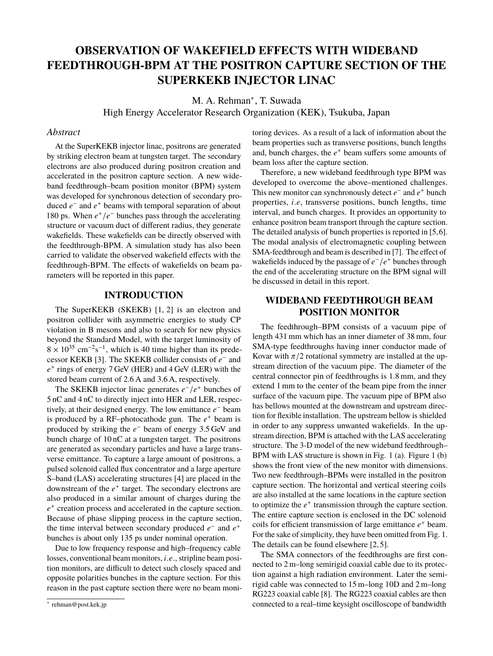# **OBSERVATION OF WAKEFIELD EFFECTS WITH WIDEBAND FEEDTHROUGH-BPM AT THE POSITRON CAPTURE SECTION OF THE SUPERKEKB INJECTOR LINAC**

M. A. Rehman<sup>\*</sup>, T. Suwada

High Energy Accelerator Research Organization (KEK), Tsukuba, Japan

### *Abstract*

At the SuperKEKB injector linac, positrons are generated by striking electron beam at tungsten target. The secondary electrons are also produced during positron creation and accelerated in the positron capture section. A new wideband feedthrough–beam position monitor (BPM) system was developed for synchronous detection of secondary produced *e* − and *e* <sup>+</sup> beams with temporal separation of about 180 ps. When  $e^+/e^-$  bunches pass through the accelerating structure or vacuum duct of different radius, they generate wakefields. These wakefields can be directly observed with the feedthrough-BPM. A simulation study has also been carried to validate the observed wakefield effects with the feedthrough-BPM. The effects of wakefields on beam parameters will be reported in this paper.

#### **INTRODUCTION**

The SuperKEKB (SKEKB) [1, 2] is an electron and positron collider with asymmetric energies to study CP violation in B mesons and also to search for new physics beyond the Standard Model, with the target luminosity of  $8 \times 10^{35}$  cm<sup>-2</sup>s<sup>-1</sup>, which is 40 time higher than its predecessor KEKB [3]. The SKEKB collider consists of *e*<sup>−</sup> and *e* + rings of energy 7 GeV (HER) and 4 GeV (LER) with the stored beam current of 2.6 A and 3.6 A, respectively.

The SKEKB injector linac generates  $e^- / e^+$  bunches of 5 nC and 4 nC to directly inject into HER and LER, respectively, at their designed energy. The low emittance *e* <sup>−</sup> beam is produced by a RF-photocathode gun. The  $e^+$  beam is produced by striking the  $e^-$  beam of energy 3.5 GeV and bunch charge of 10 nC at a tungsten target. The positrons are generated as secondary particles and have a large transverse emittance. To capture a large amount of positrons, a pulsed solenoid called flux concentrator and a large aperture S–band (LAS) accelerating structures [4] are placed in the downstream of the *e* + target. The secondary electrons are also produced in a similar amount of charges during the  $e<sup>+</sup>$  creation process and accelerated in the capture section. Because of phase slipping process in the capture section, the time interval between secondary produced  $e^-$  and  $e^+$ bunches is about only 135 ps under nominal operation.

Due to low frequency response and high–frequency cable losses, conventional beam monitors, *<sup>i</sup>*.*e*., stripline beam position monitors, are difficult to detect such closely spaced and opposite polarities bunches in the capture section. For this reason in the past capture section there were no beam moni-

toring devices. As a result of a lack of information about the beam properties such as transverse positions, bunch lengths and, bunch charges, the  $e^+$  beam suffers some amounts of beam loss after the capture section.

Therefore, a new wideband feedthrough type BPM was developed to overcome the above–mentioned challenges. This new monitor can synchronously detect  $e^-$  and  $e^+$  bunch properties, *<sup>i</sup>*.*e*, transverse positions, bunch lengths, time interval, and bunch charges. It provides an opportunity to enhance positron beam transport through the capture section. The detailed analysis of bunch properties is reported in [5,6]. The modal analysis of electromagnetic coupling between SMA-feedthrough and beam is described in [7]. The effect of wakefields induced by the passage of  $e^-$  /e<sup>+</sup> bunches through the end of the accelerating structure on the BPM signal will be discussed in detail in this report.

## **WIDEBAND FEEDTHROUGH BEAM POSITION MONITOR**

The feedthrough–BPM consists of a vacuum pipe of length 431 mm which has an inner diameter of 38 mm, four SMA-type feedthroughs having inner conductor made of Kovar with  $\pi/2$  rotational symmetry are installed at the upstream direction of the vacuum pipe. The diameter of the central connector pin of feedthroughs is 1.8 mm, and they extend 1 mm to the center of the beam pipe from the inner surface of the vacuum pipe. The vacuum pipe of BPM also has bellows mounted at the downstream and upstream direction for flexible installation. The upstream bellow is shielded in order to any suppress unwanted wakefields. In the upstream direction, BPM is attached with the LAS accelerating structure. The 3-D model of the new wideband feedthrough– BPM with LAS structure is shown in Fig. 1 (a). Figure 1 (b) shows the front view of the new monitor with dimensions. Two new feedthrough–BPMs were installed in the positron capture section. The horizontal and vertical steering coils are also installed at the same locations in the capture section to optimize the  $e^+$  transmission through the capture section. The entire capture section is enclosed in the DC solenoid coils for efficient transmission of large emittance *e* <sup>+</sup> beam. For the sake of simplicity, they have been omitted from Fig. 1. The details can be found elsewhere [2, 5].

The SMA connectors of the feedthroughs are first connected to 2 m–long semirigid coaxial cable due to its protection against a high radiation environment. Later the semirigid cable was connected to 15 m–long 10D and 2 m–long RG223 coaxial cable [8]. The RG223 coaxial cables are then connected to a real–time keysight oscilloscope of bandwidth

<sup>∗</sup> rehman@post.kek.jp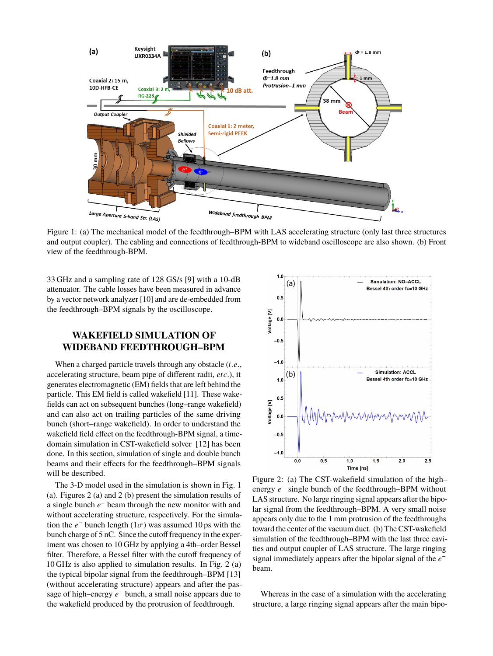

Figure 1: (a) The mechanical model of the feedthrough–BPM with LAS accelerating structure (only last three structures and output coupler). The cabling and connections of feedthrough-BPM to wideband oscilloscope are also shown. (b) Front view of the feedthrough-BPM.

33 GHz and a sampling rate of 128 GS/s [9] with a 10-dB attenuator. The cable losses have been measured in advance by a vector network analyzer [10] and are de-embedded from the feedthrough–BPM signals by the oscilloscope.

# **WAKEFIELD SIMULATION OF WIDEBAND FEEDTHROUGH–BPM**

When a charged particle travels through any obstacle (*i*.*e*., accelerating structure, beam pipe of different radii, *etc*.), it generates electromagnetic (EM) fields that are left behind the particle. This EM field is called wakefield [11]. These wakefields can act on subsequent bunches (long–range wakefield) and can also act on trailing particles of the same driving bunch (short–range wakefield). In order to understand the wakefield field effect on the feedthrough-BPM signal, a timedomain simulation in CST-wakefield solver [12] has been done. In this section, simulation of single and double bunch beams and their effects for the feedthrough–BPM signals will be described.

The 3-D model used in the simulation is shown in Fig. 1 (a). Figures 2 (a) and 2 (b) present the simulation results of a single bunch *e*<sup>−</sup> beam through the new monitor with and without accelerating structure, respectively. For the simulation the  $e^-$  bunch length (1 $\sigma$ ) was assumed 10 ps with the hyper-<br>bunch charge of 5 pC. Since the cutoff frequency in the experbunch charge of 5 nC. Since the cutoff frequency in the experiment was chosen to 10 GHz by applying a 4th–order Bessel filter. Therefore, a Bessel filter with the cutoff frequency of 10 GHz is also applied to simulation results. In Fig. 2 (a) the typical bipolar signal from the feedthrough–BPM [13] (without accelerating structure) appears and after the passage of high–energy  $e^-$  bunch, a small noise appears due to the wakefield produced by the protrusion of feedthrough.



Figure 2: (a) The CST-wakefield simulation of the high– energy  $e^-$  single bunch of the feedthrough–BPM without LAS structure. No large ringing signal appears after the bipolar signal from the feedthrough–BPM. A very small noise appears only due to the 1 mm protrusion of the feedthroughs toward the center of the vacuum duct. (b) The CST-wakefield simulation of the feedthrough–BPM with the last three cavities and output coupler of LAS structure. The large ringing signal immediately appears after the bipolar signal of the *e* − beam.

Whereas in the case of a simulation with the accelerating structure, a large ringing signal appears after the main bipo-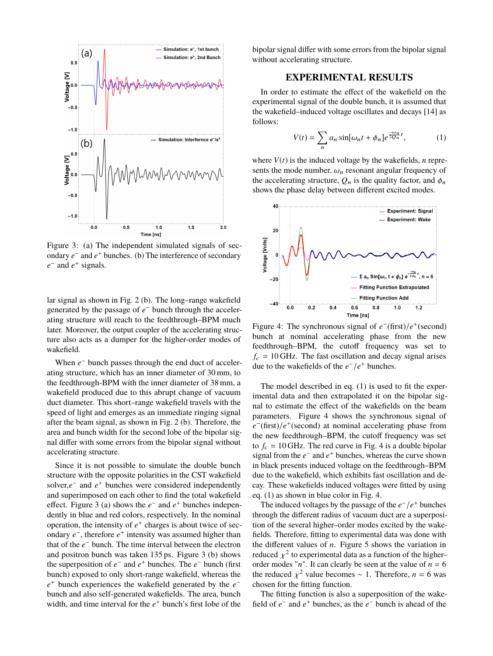

Figure 3: (a) The independent simulated signals of secondary *e* − and *e* <sup>+</sup> bunches. (b) The interference of secondary  $e^-$  and  $e^+$  signals.

lar signal as shown in Fig. 2 (b). The long–range wakefield generated by the passage of  $e^-$  bunch through the accelerating structure will reach to the feedthrough–BPM much later. Moreover, the output coupler of the accelerating structure also acts as a dumper for the higher-order modes of wakefield.

When  $e^-$  bunch passes through the end duct of accelerating structure, which has an inner diameter of 30 mm, to the feedthrough-BPM with the inner diameter of 38 mm, a wakefield produced due to this abrupt change of vacuum duct diameter. This short–range wakefield travels with the speed of light and emerges as an immediate ringing signal after the beam signal, as shown in Fig. 2 (b). Therefore, the area and bunch width for the second lobe of the bipolar signal differ with some errors from the bipolar signal without accelerating structure.

Since it is not possible to simulate the double bunch structure with the opposite polarities in the CST wakefield solver, $e^-$  and  $e^+$  bunches were considered independently and superimposed on each other to find the total wakefield effect. Figure 3 (a) shows the  $e^-$  and  $e^+$  bunches independently in blue and red colors, respectively. In the nominal operation, the intensity of  $e^+$  charges is about twice of secondary *e*<sup>−</sup>, therefore *e*<sup>+</sup> intensity was assumed higher than that of the *e*<sup>−</sup> bunch. The time interval between the electron and positron bunch was taken 135 ps. Figure 3 (b) shows the superposition of  $e^-$  and  $e^+$  bunches. The  $e^-$  bunch (first bunch) exposed to only short-range wakefield, whereas the *e*<sup>+</sup> bunch experiences the wakefield generated by the *e*<sup>−</sup> bunch and also self-generated wakefields. The area, bunch width, and time interval for the  $e^+$  bunch's first lobe of the

bipolar signal differ with some errors from the bipolar signal without accelerating structure.

### **EXPERIMENTAL RESULTS**

In order to estimate the effect of the wakefield on the experimental signal of the double bunch, it is assumed that the wakefield–induced voltage oscillates and decays [14] as follows:

$$
V(t) = \sum_{n} a_n \sin[\omega_n t + \phi_n] e^{\frac{-\omega_n}{2Q_n}t}, \qquad (1)
$$

where  $V(t)$  is the induced voltage by the wakefields, *n* represents the mode number,  $\omega_n$  resonant angular frequency of the accelerating structure,  $Q_n$  is the quality factor, and  $\phi_n$ shows the phase delay between different excited modes.



Figure 4: The synchronous signal of  $e^-(\text{first})/e^+(\text{second})$ bunch at nominal accelerating phase from the new feedthrough–BPM, the cutoff frequency was set to  $f_c = 10$  GHz. The fast oscillation and decay signal arises due to the wakefields of the  $e^-/e^+$  bunches.

The model described in eq. (1) is used to fit the experimental data and then extrapolated it on the bipolar signal to estimate the effect of the wakefields on the beam parameters. Figure 4 shows the synchronous signal of *e*<sup>−</sup>(first)/*e*<sup>+</sup>(second) at nominal accelerating phase from the new feedthrough–BPM, the cutoff frequency was set to  $f_c = 10$  GHz. The red curve in Fig. 4 is a double bipolar signal from the  $e^-$  and  $e^+$  bunches, whereas the curve shown in black presents induced voltage on the feedthrough–BPM due to the wakefield, which exhibits fast oscillation and decay. These wakefields induced voltages were fitted by using eq. (1) as shown in blue color in Fig. 4.

The induced voltages by the passage of the  $e^-/e^+$  bunches through the different radius of vacuum duct are a superposition of the several higher–order modes excited by the wakefields. Therefore, fitting to experimental data was done with the different values of *n*. Figure 5 shows the variation in reduced  $\chi^2$  to experimental data as a function of the higher–<br>order modes "n". It can clearly be seen at the value of  $n-6$ order modes " $n$ ". It can clearly be seen at the value of  $n = 6$ the reduced  $\chi^2$  value becomes ∼ 1. Therefore, *n* = 6 was chosen for the fitting function.

The fitting function is also a superposition of the wakefield of  $e^-$  and  $e^+$  bunches, as the  $e^-$  bunch is ahead of the